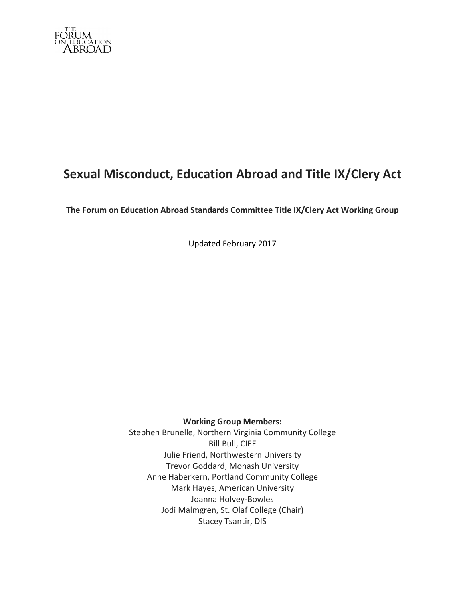

# **Sexual Misconduct, Education Abroad and Title IX/Clery Act**

**The Forum on Education Abroad Standards Committee Title IX/Clery Act Working Group** 

Updated February 2017

**Working Group Members:**

Stephen Brunelle, Northern Virginia Community College **Bill Bull, CIEE** Julie Friend, Northwestern University Trevor Goddard, Monash University Anne Haberkern, Portland Community College Mark Hayes, American University Joanna Holvey-Bowles Jodi Malmgren, St. Olaf College (Chair) Stacey Tsantir, DIS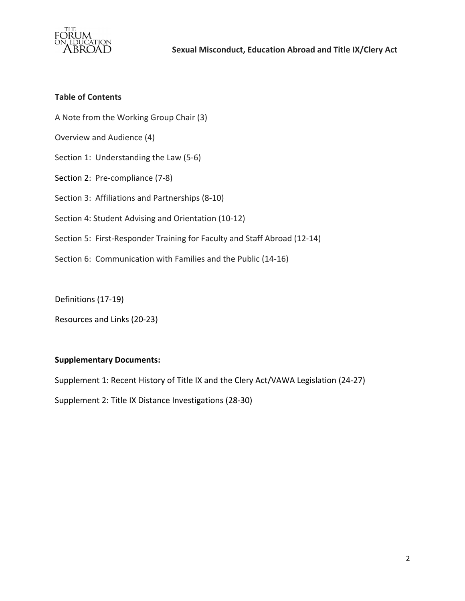

## **Table of Contents**

- A Note from the Working Group Chair (3)
- Overview and Audience (4)
- Section 1: Understanding the Law (5-6)
- Section 2: Pre-compliance (7-8)
- Section 3: Affiliations and Partnerships (8-10)
- Section 4: Student Advising and Orientation (10-12)
- Section 5: First-Responder Training for Faculty and Staff Abroad (12-14)
- Section 6: Communication with Families and the Public (14-16)

Definitions (17-19)

Resources and Links (20-23)

## **Supplementary Documents:**

Supplement 1: Recent History of Title IX and the Clery Act/VAWA Legislation (24-27)

Supplement 2: Title IX Distance Investigations (28-30)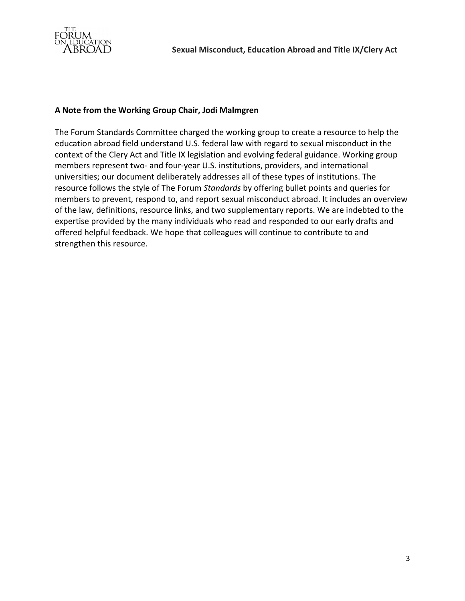

## **A Note from the Working Group Chair, Jodi Malmgren**

The Forum Standards Committee charged the working group to create a resource to help the education abroad field understand U.S. federal law with regard to sexual misconduct in the context of the Clery Act and Title IX legislation and evolving federal guidance. Working group members represent two- and four-year U.S. institutions, providers, and international universities; our document deliberately addresses all of these types of institutions. The resource follows the style of The Forum *Standards* by offering bullet points and queries for members to prevent, respond to, and report sexual misconduct abroad. It includes an overview of the law, definitions, resource links, and two supplementary reports. We are indebted to the expertise provided by the many individuals who read and responded to our early drafts and offered helpful feedback. We hope that colleagues will continue to contribute to and strengthen this resource.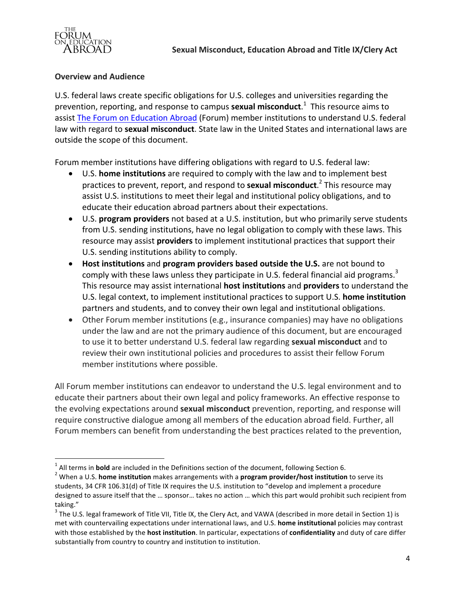

#### **Overview and Audience**

<u> Andrew Maria (1989)</u>

U.S. federal laws create specific obligations for U.S. colleges and universities regarding the prevention, reporting, and response to campus **sexual misconduct**.<sup>1</sup> This resource aims to assist The Forum on Education Abroad (Forum) member institutions to understand U.S. federal law with regard to sexual misconduct. State law in the United States and international laws are outside the scope of this document.

Forum member institutions have differing obligations with regard to U.S. federal law:

- U.S. **home institutions** are required to comply with the law and to implement best practices to prevent, report, and respond to **sexual misconduct**.<sup>2</sup> This resource may assist U.S. institutions to meet their legal and institutional policy obligations, and to educate their education abroad partners about their expectations.
- U.S. **program providers** not based at a U.S. institution, but who primarily serve students from U.S. sending institutions, have no legal obligation to comply with these laws. This resource may assist **providers** to implement institutional practices that support their U.S. sending institutions ability to comply.
- Host institutions and program providers based outside the U.S. are not bound to comply with these laws unless they participate in U.S. federal financial aid programs.<sup>3</sup> This resource may assist international **host institutions** and **providers** to understand the U.S. legal context, to implement institutional practices to support U.S. **home institution** partners and students, and to convey their own legal and institutional obligations.
- Other Forum member institutions (e.g., insurance companies) may have no obligations under the law and are not the primary audience of this document, but are encouraged to use it to better understand U.S. federal law regarding sexual misconduct and to review their own institutional policies and procedures to assist their fellow Forum member institutions where possible.

All Forum member institutions can endeavor to understand the U.S. legal environment and to educate their partners about their own legal and policy frameworks. An effective response to the evolving expectations around **sexual misconduct** prevention, reporting, and response will require constructive dialogue among all members of the education abroad field. Further, all Forum members can benefit from understanding the best practices related to the prevention,

<sup>&</sup>lt;sup>1</sup> All terms in **bold** are included in the Definitions section of the document, following Section 6.<br><sup>2</sup> When a U.S. **home institution** makes arrangements with a **program provider/host institution** to serve its students, 34 CFR 106.31(d) of Title IX requires the U.S. institution to "develop and implement a procedure designed to assure itself that the ... sponsor... takes no action ... which this part would prohibit such recipient from

taking."<br> $3$  The U.S. legal framework of Title VII, Title IX, the Clery Act, and VAWA (described in more detail in Section 1) is met with countervailing expectations under international laws, and U.S. home institutional policies may contrast with those established by the **host institution**. In particular, expectations of **confidentiality** and duty of care differ substantially from country to country and institution to institution.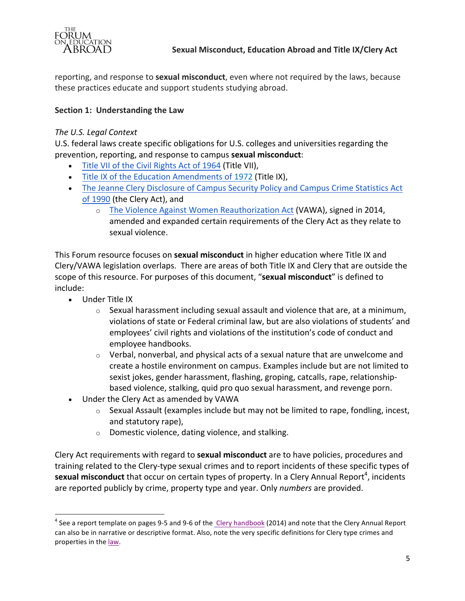

reporting, and response to **sexual misconduct**, even where not required by the laws, because these practices educate and support students studying abroad.

# **Section 1: Understanding the Law**

#### The U.S. Legal Context

U.S. federal laws create specific obligations for U.S. colleges and universities regarding the prevention, reporting, and response to campus **sexual misconduct**:

- Title VII of the Civil Rights Act of 1964 (Title VII),
- Title IX of the Education Amendments of 1972 (Title IX),
- The Jeanne Clery Disclosure of Campus Security Policy and Campus Crime Statistics Act of 1990 (the Clery Act), and
	- o The Violence Against Women Reauthorization Act (VAWA), signed in 2014, amended and expanded certain requirements of the Clery Act as they relate to sexual violence.

This Forum resource focuses on **sexual misconduct** in higher education where Title IX and Clery/VAWA legislation overlaps. There are areas of both Title IX and Clery that are outside the scope of this resource. For purposes of this document, "sexual misconduct" is defined to include:

• Under Title IX

<u> Andrew Maria (1989)</u>

- $\circ$  Sexual harassment including sexual assault and violence that are, at a minimum, violations of state or Federal criminal law, but are also violations of students' and employees' civil rights and violations of the institution's code of conduct and employee handbooks.
- $\circ$  Verbal, nonverbal, and physical acts of a sexual nature that are unwelcome and create a hostile environment on campus. Examples include but are not limited to sexist jokes, gender harassment, flashing, groping, catcalls, rape, relationshipbased violence, stalking, quid pro quo sexual harassment, and revenge porn.
- Under the Clery Act as amended by VAWA
	- $\circ$  Sexual Assault (examples include but may not be limited to rape, fondling, incest, and statutory rape),
	- $\circ$  Domestic violence, dating violence, and stalking.

Clery Act requirements with regard to **sexual misconduct** are to have policies, procedures and training related to the Clery-type sexual crimes and to report incidents of these specific types of sexual misconduct that occur on certain types of property. In a Clery Annual Report<sup>4</sup>, incidents are reported publicly by crime, property type and year. Only *numbers* are provided.

 $4$  See a report template on pages 9-5 and 9-6 of the Clery handbook (2014) and note that the Clery Annual Report can also be in narrative or descriptive format. Also, note the very specific definitions for Clery type crimes and properties in the law.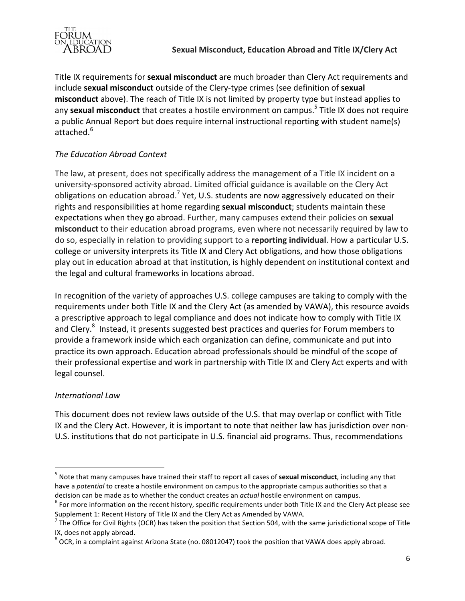

Title IX requirements for **sexual misconduct** are much broader than Clery Act requirements and include **sexual misconduct** outside of the Clery-type crimes (see definition of **sexual** misconduct above). The reach of Title IX is not limited by property type but instead applies to any sexual misconduct that creates a hostile environment on campus.<sup>5</sup> Title IX does not require a public Annual Report but does require internal instructional reporting with student name(s) attached. 6

# *The Education Abroad Context*

The law, at present, does not specifically address the management of a Title IX incident on a university-sponsored activity abroad. Limited official guidance is available on the Clery Act obligations on education abroad.<sup>7</sup> Yet, U.S. students are now aggressively educated on their rights and responsibilities at home regarding **sexual misconduct**; students maintain these expectations when they go abroad. Further, many campuses extend their policies on sexual **misconduct** to their education abroad programs, even where not necessarily required by law to do so, especially in relation to providing support to a **reporting individual**. How a particular U.S. college or university interprets its Title IX and Clery Act obligations, and how those obligations play out in education abroad at that institution, is highly dependent on institutional context and the legal and cultural frameworks in locations abroad.

In recognition of the variety of approaches U.S. college campuses are taking to comply with the requirements under both Title IX and the Clery Act (as amended by VAWA), this resource avoids a prescriptive approach to legal compliance and does not indicate how to comply with Title IX and Clery. $^8$  Instead, it presents suggested best practices and queries for Forum members to provide a framework inside which each organization can define, communicate and put into practice its own approach. Education abroad professionals should be mindful of the scope of their professional expertise and work in partnership with Title IX and Clery Act experts and with legal counsel.

# *International Law*

<u> Andrew Maria (1989)</u>

This document does not review laws outside of the U.S. that may overlap or conflict with Title IX and the Clery Act. However, it is important to note that neither law has jurisdiction over non-U.S. institutions that do not participate in U.S. financial aid programs. Thus, recommendations

<sup>&</sup>lt;sup>5</sup> Note that many campuses have trained their staff to report all cases of **sexual misconduct**, including any that have a *potential* to create a hostile environment on campus to the appropriate campus authorities so that a decision can be made as to whether the conduct creates an *actual* hostile environment on campus.<br><sup>6</sup> For more information on the recent history, specific requirements under both Title IX and the Clery Act please see

Supplement 1: Recent History of Title IX and the Clery Act as Amended by VAWA.

 $^7$  The Office for Civil Rights (OCR) has taken the position that Section 504, with the same jurisdictional scope of Title IX, does not apply abroad.<br><sup>8</sup> OCR, in a complaint against Arizona State (no. 08012047) took the position that VAWA does apply abroad.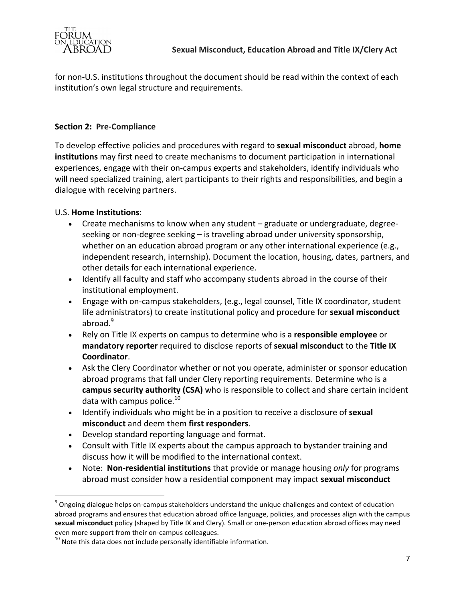

for non-U.S. institutions throughout the document should be read within the context of each institution's own legal structure and requirements.

# **Section 2: Pre-Compliance**

To develop effective policies and procedures with regard to **sexual misconduct** abroad, **home institutions** may first need to create mechanisms to document participation in international experiences, engage with their on-campus experts and stakeholders, identify individuals who will need specialized training, alert participants to their rights and responsibilities, and begin a dialogue with receiving partners.

# U.S. **Home Institutions**:

- Create mechanisms to know when any student  $-$  graduate or undergraduate, degreeseeking or non-degree seeking  $-$  is traveling abroad under university sponsorship, whether on an education abroad program or any other international experience (e.g., independent research, internship). Document the location, housing, dates, partners, and other details for each international experience.
- Identify all faculty and staff who accompany students abroad in the course of their institutional employment.
- Engage with on-campus stakeholders, (e.g., legal counsel, Title IX coordinator, student life administrators) to create institutional policy and procedure for **sexual misconduct** abroad. $9$
- Rely on Title IX experts on campus to determine who is a **responsible employee** or mandatory reporter required to disclose reports of sexual misconduct to the Title IX **Coordinator**.
- Ask the Clery Coordinator whether or not you operate, administer or sponsor education abroad programs that fall under Clery reporting requirements. Determine who is a **campus security authority (CSA)** who is responsible to collect and share certain incident data with campus police. $10<sup>10</sup>$
- Identify individuals who might be in a position to receive a disclosure of **sexual misconduct** and deem them **first responders**.
- Develop standard reporting language and format.
- Consult with Title IX experts about the campus approach to bystander training and discuss how it will be modified to the international context.
- Note: **Non-residential institutions** that provide or manage housing *only* for programs abroad must consider how a residential component may impact **sexual misconduct**

<u> Andrew Maria (1989)</u>

 $9$  Ongoing dialogue helps on-campus stakeholders understand the unique challenges and context of education abroad programs and ensures that education abroad office language, policies, and processes align with the campus sexual misconduct policy (shaped by Title IX and Clery). Small or one-person education abroad offices may need

even more support from their on-campus colleagues.<br> $^{10}$  Note this data does not include personally identifiable information.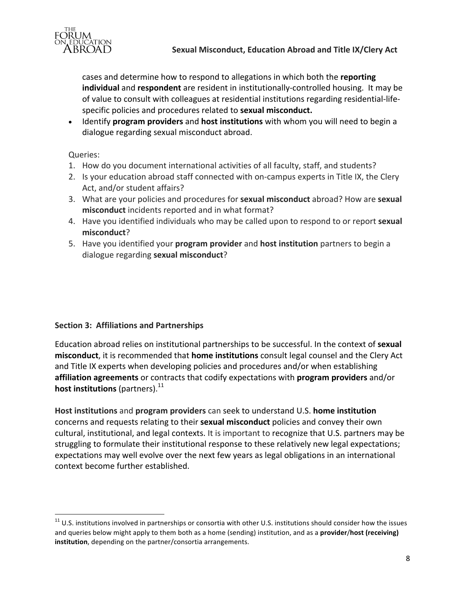

cases and determine how to respond to allegations in which both the reporting **individual** and **respondent** are resident in institutionally-controlled housing. It may be of value to consult with colleagues at residential institutions regarding residential-lifespecific policies and procedures related to **sexual misconduct.** 

• Identify **program providers** and **host institutions** with whom you will need to begin a dialogue regarding sexual misconduct abroad.

Queries:

- 1. How do you document international activities of all faculty, staff, and students?
- 2. Is your education abroad staff connected with on-campus experts in Title IX, the Clery Act, and/or student affairs?
- 3. What are your policies and procedures for **sexual misconduct** abroad? How are **sexual** misconduct incidents reported and in what format?
- 4. Have you identified individuals who may be called upon to respond to or report sexual **misconduct**?
- 5. Have you identified your **program provider** and **host institution** partners to begin a dialogue regarding **sexual misconduct**?

## **Section 3: Affiliations and Partnerships**

<u> Andrew Maria (1989)</u>

Education abroad relies on institutional partnerships to be successful. In the context of **sexual misconduct**, it is recommended that **home institutions** consult legal counsel and the Clery Act and Title IX experts when developing policies and procedures and/or when establishing affiliation agreements or contracts that codify expectations with program providers and/or **host institutions** (partners).<sup>11</sup>

**Host institutions** and **program providers** can seek to understand U.S. **home institution** concerns and requests relating to their **sexual misconduct** policies and convey their own cultural, institutional, and legal contexts. It is important to recognize that U.S. partners may be struggling to formulate their institutional response to these relatively new legal expectations; expectations may well evolve over the next few years as legal obligations in an international context become further established.

 $11$  U.S. institutions involved in partnerships or consortia with other U.S. institutions should consider how the issues and queries below might apply to them both as a home (sending) institution, and as a **provider/host (receiving)** institution, depending on the partner/consortia arrangements.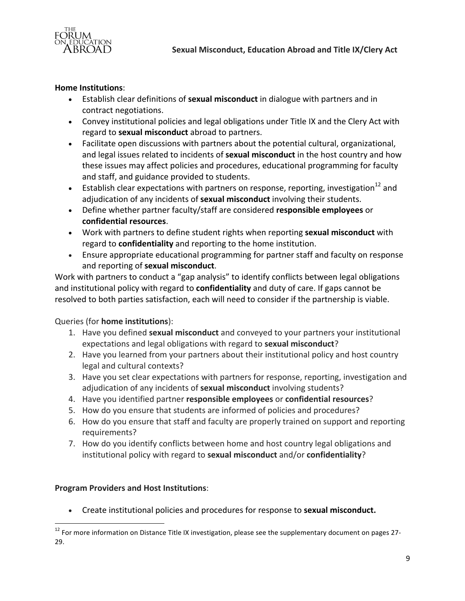

#### **Home Institutions:**

- Establish clear definitions of **sexual misconduct** in dialogue with partners and in contract negotiations.
- Convey institutional policies and legal obligations under Title IX and the Clery Act with regard to **sexual misconduct** abroad to partners.
- Facilitate open discussions with partners about the potential cultural, organizational, and legal issues related to incidents of **sexual misconduct** in the host country and how these issues may affect policies and procedures, educational programming for faculty and staff, and guidance provided to students.
- Establish clear expectations with partners on response, reporting, investigation<sup>12</sup> and adjudication of any incidents of **sexual misconduct** involving their students.
- Define whether partner faculty/staff are considered **responsible employees** or **confidential resources**.
- Work with partners to define student rights when reporting **sexual misconduct** with regard to **confidentiality** and reporting to the home institution.
- Ensure appropriate educational programming for partner staff and faculty on response and reporting of **sexual misconduct**.

Work with partners to conduct a "gap analysis" to identify conflicts between legal obligations and institutional policy with regard to **confidentiality** and duty of care. If gaps cannot be resolved to both parties satisfaction, each will need to consider if the partnership is viable.

Queries (for **home institutions**):

- 1. Have you defined **sexual misconduct** and conveyed to your partners your institutional expectations and legal obligations with regard to **sexual misconduct**?
- 2. Have you learned from your partners about their institutional policy and host country legal and cultural contexts?
- 3. Have you set clear expectations with partners for response, reporting, investigation and adjudication of any incidents of **sexual misconduct** involving students?
- 4. Have you identified partner **responsible employees** or **confidential resources**?
- 5. How do you ensure that students are informed of policies and procedures?
- 6. How do you ensure that staff and faculty are properly trained on support and reporting requirements?
- 7. How do you identify conflicts between home and host country legal obligations and institutional policy with regard to sexual misconduct and/or confidentiality?

## **Program Providers and Host Institutions**:

<u> Andrew Maria (1989)</u>

Create institutional policies and procedures for response to **sexual misconduct.** 

 $^{12}$  For more information on Distance Title IX investigation, please see the supplementary document on pages 27-29.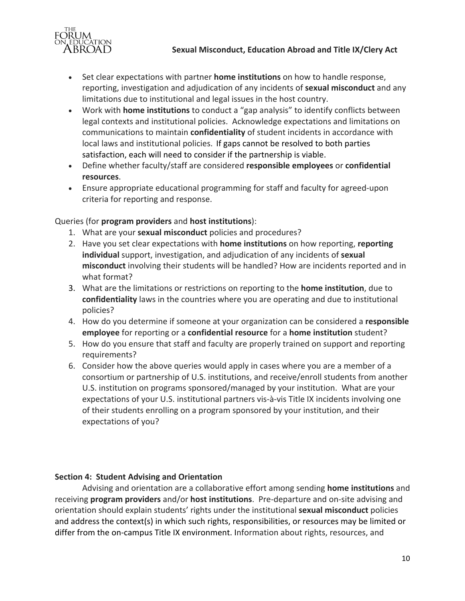



- Set clear expectations with partner **home institutions** on how to handle response, reporting, investigation and adjudication of any incidents of **sexual misconduct** and any limitations due to institutional and legal issues in the host country.
- Work with **home institutions** to conduct a "gap analysis" to identify conflicts between legal contexts and institutional policies. Acknowledge expectations and limitations on communications to maintain **confidentiality** of student incidents in accordance with local laws and institutional policies. If gaps cannot be resolved to both parties satisfaction, each will need to consider if the partnership is viable.
- Define whether faculty/staff are considered **responsible employees** or **confidential resources**.
- Ensure appropriate educational programming for staff and faculty for agreed-upon criteria for reporting and response.

# Queries (for **program providers** and **host institutions**):

- 1. What are your **sexual misconduct** policies and procedures?
- 2. Have you set clear expectations with **home institutions** on how reporting, reporting **individual** support, investigation, and adjudication of any incidents of **sexual misconduct** involving their students will be handled? How are incidents reported and in what format?
- 3. What are the limitations or restrictions on reporting to the **home institution**, due to **confidentiality** laws in the countries where you are operating and due to institutional policies?
- 4. How do you determine if someone at your organization can be considered a responsible **employee** for reporting or a **confidential resource** for a **home institution** student?
- 5. How do you ensure that staff and faculty are properly trained on support and reporting requirements?
- 6. Consider how the above queries would apply in cases where you are a member of a consortium or partnership of U.S. institutions, and receive/enroll students from another U.S. institution on programs sponsored/managed by your institution. What are your expectations of your U.S. institutional partners vis-à-vis Title IX incidents involving one of their students enrolling on a program sponsored by your institution, and their expectations of you?

# **Section 4: Student Advising and Orientation**

Advising and orientation are a collaborative effort among sending **home institutions** and receiving **program providers** and/or **host institutions**. Pre-departure and on-site advising and orientation should explain students' rights under the institutional **sexual misconduct** policies and address the context(s) in which such rights, responsibilities, or resources may be limited or differ from the on-campus Title IX environment. Information about rights, resources, and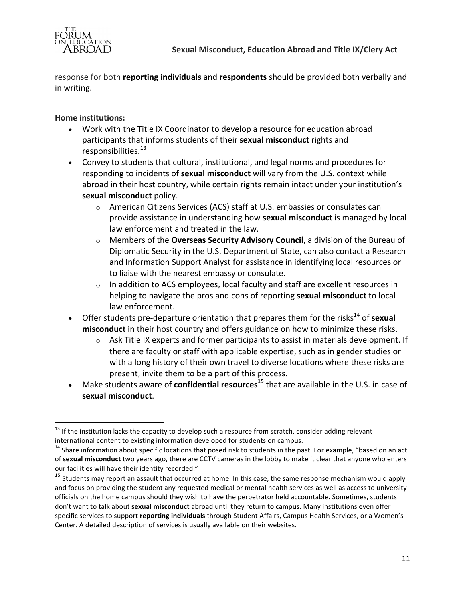

response for both **reporting individuals** and **respondents** should be provided both verbally and in writing.

# **Home institutions:**

- Work with the Title IX Coordinator to develop a resource for education abroad participants that informs students of their **sexual misconduct** rights and responsibilities.<sup>13</sup>
- Convey to students that cultural, institutional, and legal norms and procedures for responding to incidents of **sexual misconduct** will vary from the U.S. context while abroad in their host country, while certain rights remain intact under your institution's sexual misconduct policy.
	- $\circ$  American Citizens Services (ACS) staff at U.S. embassies or consulates can provide assistance in understanding how **sexual misconduct** is managed by local law enforcement and treated in the law.
	- o Members of the **Overseas Security Advisory Council**, a division of the Bureau of Diplomatic Security in the U.S. Department of State, can also contact a Research and Information Support Analyst for assistance in identifying local resources or to liaise with the nearest embassy or consulate.
	- $\circ$  In addition to ACS employees, local faculty and staff are excellent resources in helping to navigate the pros and cons of reporting sexual misconduct to local law enforcement.
- Offer students pre-departure orientation that prepares them for the risks<sup>14</sup> of **sexual** misconduct in their host country and offers guidance on how to minimize these risks.
	- $\circ$  Ask Title IX experts and former participants to assist in materials development. If there are faculty or staff with applicable expertise, such as in gender studies or with a long history of their own travel to diverse locations where these risks are present, invite them to be a part of this process.
- Make students aware of **confidential resources**<sup>15</sup> that are available in the U.S. in case of **sexual misconduct**.

<sup>&</sup>lt;u> Andrew Maria (1989)</u>  $13$  If the institution lacks the capacity to develop such a resource from scratch, consider adding relevant international content to existing information developed for students on campus.

 $14$  Share information about specific locations that posed risk to students in the past. For example, "based on an act of sexual misconduct two years ago, there are CCTV cameras in the lobby to make it clear that anyone who enters our facilities will have their identity recorded."

<sup>&</sup>lt;sup>15</sup> Students may report an assault that occurred at home. In this case, the same response mechanism would apply and focus on providing the student any requested medical or mental health services as well as access to university officials on the home campus should they wish to have the perpetrator held accountable. Sometimes, students don't want to talk about **sexual misconduct** abroad until they return to campus. Many institutions even offer specific services to support *reporting individuals* through Student Affairs, Campus Health Services, or a Women's Center. A detailed description of services is usually available on their websites.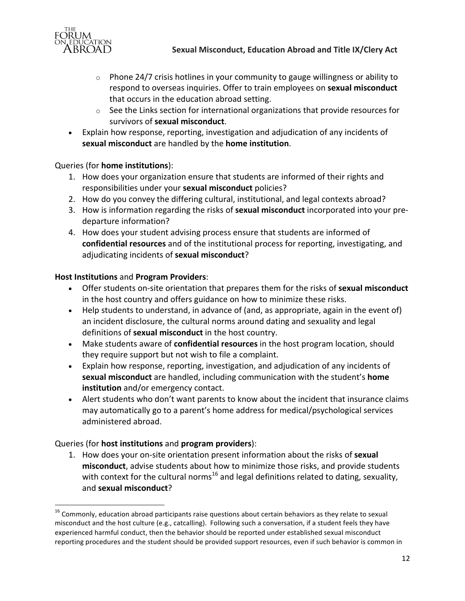

- $\circ$  Phone 24/7 crisis hotlines in your community to gauge willingness or ability to respond to overseas inquiries. Offer to train employees on sexual misconduct that occurs in the education abroad setting.
- $\circ$  See the Links section for international organizations that provide resources for survivors of **sexual misconduct**.
- Explain how response, reporting, investigation and adjudication of any incidents of sexual misconduct are handled by the home institution.

## Queries (for **home institutions**):

- 1. How does your organization ensure that students are informed of their rights and responsibilities under your **sexual misconduct** policies?
- 2. How do you convey the differing cultural, institutional, and legal contexts abroad?
- 3. How is information regarding the risks of **sexual misconduct** incorporated into your predeparture information?
- 4. How does your student advising process ensure that students are informed of **confidential resources** and of the institutional process for reporting, investigating, and adjudicating incidents of **sexual misconduct**?

# **Host Institutions** and **Program Providers:**

- Offer students on-site orientation that prepares them for the risks of **sexual misconduct** in the host country and offers guidance on how to minimize these risks.
- Help students to understand, in advance of (and, as appropriate, again in the event of) an incident disclosure, the cultural norms around dating and sexuality and legal definitions of **sexual misconduct** in the host country.
- Make students aware of **confidential resources** in the host program location, should they require support but not wish to file a complaint.
- Explain how response, reporting, investigation, and adjudication of any incidents of **sexual misconduct** are handled, including communication with the student's **home institution** and/or emergency contact.
- Alert students who don't want parents to know about the incident that insurance claims may automatically go to a parent's home address for medical/psychological services administered abroad.

## Queries (for **host institutions** and **program providers**):

<u> Andrew Maria (1989)</u>

1. How does your on-site orientation present information about the risks of sexual **misconduct**, advise students about how to minimize those risks, and provide students with context for the cultural norms<sup>16</sup> and legal definitions related to dating, sexuality, and **sexual misconduct**?

 $16$  Commonly, education abroad participants raise questions about certain behaviors as they relate to sexual misconduct and the host culture (e.g., catcalling). Following such a conversation, if a student feels they have experienced harmful conduct, then the behavior should be reported under established sexual misconduct reporting procedures and the student should be provided support resources, even if such behavior is common in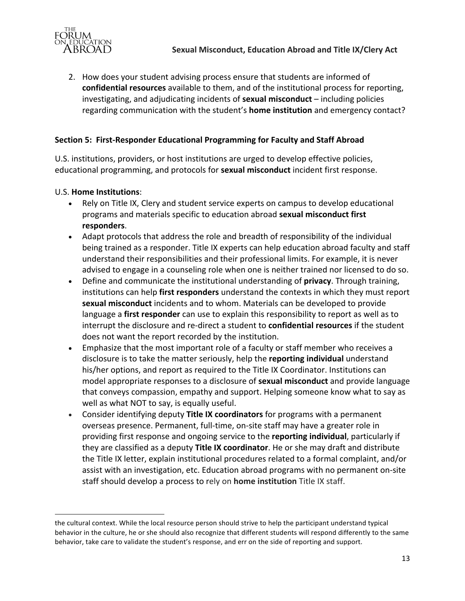

2. How does your student advising process ensure that students are informed of **confidential resources** available to them, and of the institutional process for reporting, investigating, and adjudicating incidents of **sexual misconduct** – including policies regarding communication with the student's **home institution** and emergency contact?

# **Section 5: First-Responder Educational Programming for Faculty and Staff Abroad**

U.S. institutions, providers, or host institutions are urged to develop effective policies, educational programming, and protocols for **sexual misconduct** incident first response.

#### U.S. **Home Institutions**:

<u> Andrew Maria (1989)</u>

- Rely on Title IX, Clery and student service experts on campus to develop educational programs and materials specific to education abroad **sexual misconduct first responders**.
- Adapt protocols that address the role and breadth of responsibility of the individual being trained as a responder. Title IX experts can help education abroad faculty and staff understand their responsibilities and their professional limits. For example, it is never advised to engage in a counseling role when one is neither trained nor licensed to do so.
- Define and communicate the institutional understanding of **privacy**. Through training, institutions can help first responders understand the contexts in which they must report **sexual misconduct** incidents and to whom. Materials can be developed to provide language a **first responder** can use to explain this responsibility to report as well as to interrupt the disclosure and re-direct a student to **confidential resources** if the student does not want the report recorded by the institution.
- Emphasize that the most important role of a faculty or staff member who receives a disclosure is to take the matter seriously, help the **reporting individual** understand his/her options, and report as required to the Title IX Coordinator. Institutions can model appropriate responses to a disclosure of **sexual misconduct** and provide language that conveys compassion, empathy and support. Helping someone know what to say as well as what NOT to say, is equally useful.
- Consider identifying deputy **Title IX coordinators** for programs with a permanent overseas presence. Permanent, full-time, on-site staff may have a greater role in providing first response and ongoing service to the **reporting individual**, particularly if they are classified as a deputy **Title IX coordinator**. He or she may draft and distribute the Title IX letter, explain institutional procedures related to a formal complaint, and/or assist with an investigation, etc. Education abroad programs with no permanent on-site staff should develop a process to rely on **home institution** Title IX staff.

the cultural context. While the local resource person should strive to help the participant understand typical behavior in the culture, he or she should also recognize that different students will respond differently to the same behavior, take care to validate the student's response, and err on the side of reporting and support.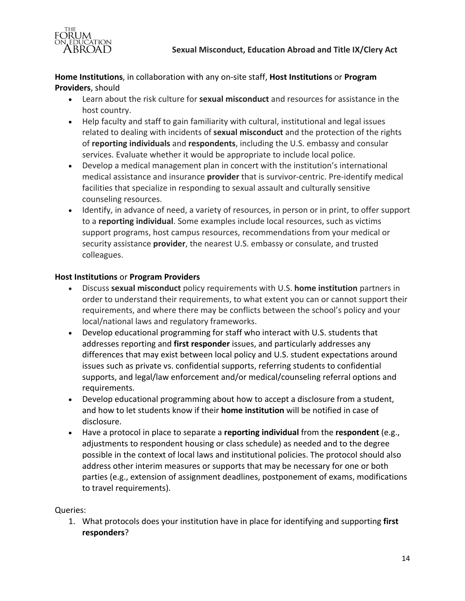

Home Institutions, in collaboration with any on-site staff, Host Institutions or Program **Providers**, should

- Learn about the risk culture for **sexual misconduct** and resources for assistance in the host country.
- Help faculty and staff to gain familiarity with cultural, institutional and legal issues related to dealing with incidents of **sexual misconduct** and the protection of the rights of **reporting individuals** and **respondents**, including the U.S. embassy and consular services. Evaluate whether it would be appropriate to include local police.
- Develop a medical management plan in concert with the institution's international medical assistance and insurance **provider** that is survivor-centric. Pre-identify medical facilities that specialize in responding to sexual assault and culturally sensitive counseling resources.
- Identify, in advance of need, a variety of resources, in person or in print, to offer support to a reporting individual. Some examples include local resources, such as victims support programs, host campus resources, recommendations from your medical or security assistance **provider**, the nearest U.S. embassy or consulate, and trusted colleagues.

## **Host Institutions or Program Providers**

- Discuss **sexual misconduct** policy requirements with U.S. **home institution** partners in order to understand their requirements, to what extent you can or cannot support their requirements, and where there may be conflicts between the school's policy and your local/national laws and regulatory frameworks.
- Develop educational programming for staff who interact with U.S. students that addresses reporting and **first responder** issues, and particularly addresses any differences that may exist between local policy and U.S. student expectations around issues such as private vs. confidential supports, referring students to confidential supports, and legal/law enforcement and/or medical/counseling referral options and requirements.
- Develop educational programming about how to accept a disclosure from a student, and how to let students know if their **home institution** will be notified in case of disclosure.
- Have a protocol in place to separate a **reporting individual** from the **respondent** (e.g., adjustments to respondent housing or class schedule) as needed and to the degree possible in the context of local laws and institutional policies. The protocol should also address other interim measures or supports that may be necessary for one or both parties (e.g., extension of assignment deadlines, postponement of exams, modifications to travel requirements).

## Queries:

1. What protocols does your institution have in place for identifying and supporting first **responders**?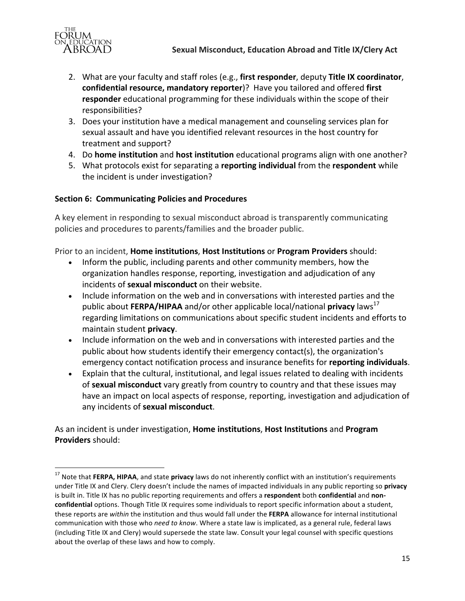

- 2. What are your faculty and staff roles (e.g., first responder, deputy Title IX coordinator, **confidential resource, mandatory reporter**)? Have you tailored and offered first **responder** educational programming for these individuals within the scope of their responsibilities?
- 3. Does your institution have a medical management and counseling services plan for sexual assault and have you identified relevant resources in the host country for treatment and support?
- 4. Do **home institution** and **host institution** educational programs align with one another?
- 5. What protocols exist for separating a **reporting individual** from the **respondent** while the incident is under investigation?

# **Section 6: Communicating Policies and Procedures**

<u> Andrew Maria (1989)</u>

A key element in responding to sexual misconduct abroad is transparently communicating policies and procedures to parents/families and the broader public.

Prior to an incident, **Home institutions, Host Institutions** or **Program Providers** should:

- Inform the public, including parents and other community members, how the organization handles response, reporting, investigation and adjudication of any incidents of **sexual misconduct** on their website.
- Include information on the web and in conversations with interested parties and the public about **FERPA/HIPAA** and/or other applicable local/national **privacy** laws<sup>17</sup> regarding limitations on communications about specific student incidents and efforts to maintain student **privacy**.
- Include information on the web and in conversations with interested parties and the public about how students identify their emergency contact(s), the organization's emergency contact notification process and insurance benefits for reporting individuals.
- Explain that the cultural, institutional, and legal issues related to dealing with incidents of **sexual misconduct** vary greatly from country to country and that these issues may have an impact on local aspects of response, reporting, investigation and adjudication of any incidents of **sexual misconduct**.

As an incident is under investigation, **Home institutions**, **Host Institutions** and **Program Providers** should:

<sup>&</sup>lt;sup>17</sup> Note that FERPA, HIPAA, and state privacy laws do not inherently conflict with an institution's requirements under Title IX and Clery. Clery doesn't include the names of impacted individuals in any public reporting so privacy is built in. Title IX has no public reporting requirements and offers a respondent both confidential and nonconfidential options. Though Title IX requires some individuals to report specific information about a student, these reports are within the institution and thus would fall under the FERPA allowance for internal institutional communication with those who *need to know*. Where a state law is implicated, as a general rule, federal laws (including Title IX and Clery) would supersede the state law. Consult your legal counsel with specific questions about the overlap of these laws and how to comply.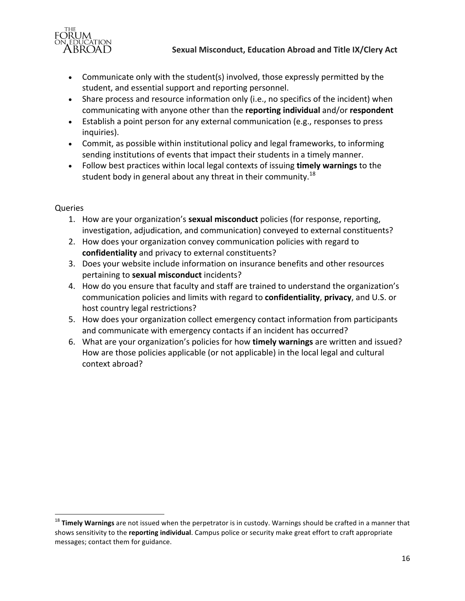

- Communicate only with the student(s) involved, those expressly permitted by the student, and essential support and reporting personnel.
- Share process and resource information only (i.e., no specifics of the incident) when communicating with anyone other than the **reporting individual** and/or **respondent**
- Establish a point person for any external communication (e.g., responses to press inquiries).
- Commit, as possible within institutional policy and legal frameworks, to informing sending institutions of events that impact their students in a timely manner.
- Follow best practices within local legal contexts of issuing **timely warnings** to the student body in general about any threat in their community.<sup>18</sup>

# Queries

<u> Andrew Maria (1989)</u>

- 1. How are your organization's **sexual misconduct** policies (for response, reporting, investigation, adjudication, and communication) conveyed to external constituents?
- 2. How does your organization convey communication policies with regard to confidentiality and privacy to external constituents?
- 3. Does your website include information on insurance benefits and other resources pertaining to **sexual misconduct** incidents?
- 4. How do you ensure that faculty and staff are trained to understand the organization's communication policies and limits with regard to **confidentiality**, privacy, and U.S. or host country legal restrictions?
- 5. How does your organization collect emergency contact information from participants and communicate with emergency contacts if an incident has occurred?
- 6. What are your organization's policies for how **timely warnings** are written and issued? How are those policies applicable (or not applicable) in the local legal and cultural context abroad?

<sup>&</sup>lt;sup>18</sup> Timely Warnings are not issued when the perpetrator is in custody. Warnings should be crafted in a manner that shows sensitivity to the **reporting individual**. Campus police or security make great effort to craft appropriate messages; contact them for guidance.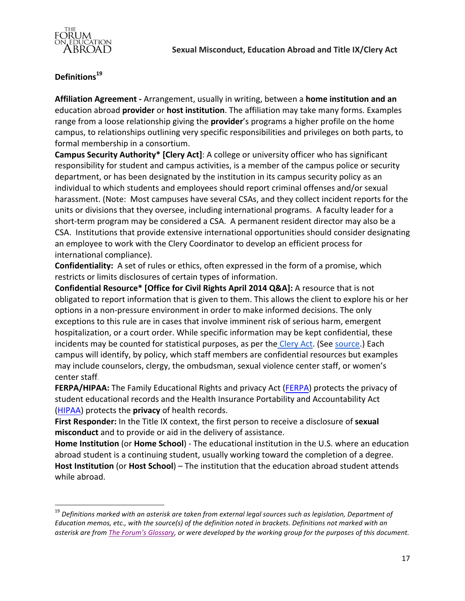

# **Definitions19**

<u> Andrew Maria (1989)</u>

**Affiliation Agreement** - Arrangement, usually in writing, between a **home institution and an education abroad provider** or **host institution**. The affiliation may take many forms. Examples range from a loose relationship giving the **provider**'s programs a higher profile on the home campus, to relationships outlining very specific responsibilities and privileges on both parts, to formal membership in a consortium.

**Campus Security Authority\* [Clery Act]**: A college or university officer who has significant responsibility for student and campus activities, is a member of the campus police or security department, or has been designated by the institution in its campus security policy as an individual to which students and employees should report criminal offenses and/or sexual harassment. (Note: Most campuses have several CSAs, and they collect incident reports for the units or divisions that they oversee, including international programs. A faculty leader for a short-term program may be considered a CSA. A permanent resident director may also be a CSA. Institutions that provide extensive international opportunities should consider designating an employee to work with the Clery Coordinator to develop an efficient process for international compliance).

**Confidentiality:** A set of rules or ethics, often expressed in the form of a promise, which restricts or limits disclosures of certain types of information.

**Confidential Resource\* [Office for Civil Rights April 2014 Q&A]:** A resource that is not obligated to report information that is given to them. This allows the client to explore his or her options in a non-pressure environment in order to make informed decisions. The only exceptions to this rule are in cases that involve imminent risk of serious harm, emergent hospitalization, or a court order. While specific information may be kept confidential, these incidents may be counted for statistical purposes, as per the Clery Act. (See source.) Each campus will identify, by policy, which staff members are confidential resources but examples may include counselors, clergy, the ombudsman, sexual violence center staff, or women's center staff.

**FERPA/HIPAA:** The Family Educational Rights and privacy Act (FERPA) protects the privacy of student educational records and the Health Insurance Portability and Accountability Act (HIPAA) protects the **privacy** of health records.

First Responder: In the Title IX context, the first person to receive a disclosure of sexual **misconduct** and to provide or aid in the delivery of assistance.

**Home Institution** (or **Home School**) - The educational institution in the U.S. where an education abroad student is a continuing student, usually working toward the completion of a degree. **Host Institution** (or **Host School**) – The institution that the education abroad student attends while abroad.

<sup>&</sup>lt;sup>19</sup> Definitions marked with an asterisk are taken from external legal sources such as legislation, Department of *Education memos, etc., with the source(s)* of the definition noted in brackets. Definitions not marked with an asterisk are from The Forum's Glossary, or were developed by the working group for the purposes of this document.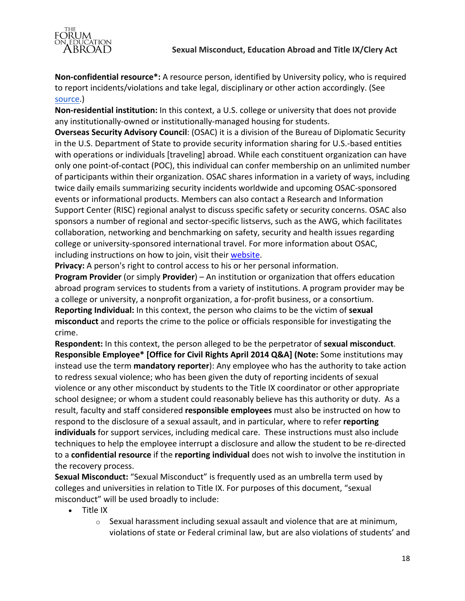

**Non-confidential resource\*:** A resource person, identified by University policy, who is required to report incidents/violations and take legal, disciplinary or other action accordingly. (See source.)

**Non-residential institution:** In this context, a U.S. college or university that does not provide any institutionally-owned or institutionally-managed housing for students.

**Overseas Security Advisory Council:** (OSAC) it is a division of the Bureau of Diplomatic Security in the U.S. Department of State to provide security information sharing for U.S.-based entities with operations or individuals [traveling] abroad. While each constituent organization can have only one point-of-contact (POC), this individual can confer membership on an unlimited number of participants within their organization. OSAC shares information in a variety of ways, including twice daily emails summarizing security incidents worldwide and upcoming OSAC-sponsored events or informational products. Members can also contact a Research and Information Support Center (RISC) regional analyst to discuss specific safety or security concerns. OSAC also sponsors a number of regional and sector-specific listservs, such as the AWG, which facilitates collaboration, networking and benchmarking on safety, security and health issues regarding college or university-sponsored international travel. For more information about OSAC, including instructions on how to join, visit their website.

**Privacy:** A person's right to control access to his or her personal information.

**Program Provider** (or simply **Provider**) – An institution or organization that offers education abroad program services to students from a variety of institutions. A program provider may be a college or university, a nonprofit organization, a for-profit business, or a consortium. **Reporting Individual:** In this context, the person who claims to be the victim of sexual misconduct and reports the crime to the police or officials responsible for investigating the crime.

**Respondent:** In this context, the person alleged to be the perpetrator of sexual misconduct. **Responsible Employee\* [Office for Civil Rights April 2014 Q&A] (Note: Some institutions may** instead use the term **mandatory reporter**): Any employee who has the authority to take action to redress sexual violence; who has been given the duty of reporting incidents of sexual violence or any other misconduct by students to the Title IX coordinator or other appropriate school designee; or whom a student could reasonably believe has this authority or duty. As a result, faculty and staff considered **responsible employees** must also be instructed on how to respond to the disclosure of a sexual assault, and in particular, where to refer *reporting* **individuals** for support services, including medical care. These instructions must also include techniques to help the employee interrupt a disclosure and allow the student to be re-directed to a **confidential resource** if the **reporting individual** does not wish to involve the institution in the recovery process.

**Sexual Misconduct:** "Sexual Misconduct" is frequently used as an umbrella term used by colleges and universities in relation to Title IX. For purposes of this document, "sexual misconduct" will be used broadly to include:

- $\bullet$  Title IX
	- $\circ$  Sexual harassment including sexual assault and violence that are at minimum, violations of state or Federal criminal law, but are also violations of students' and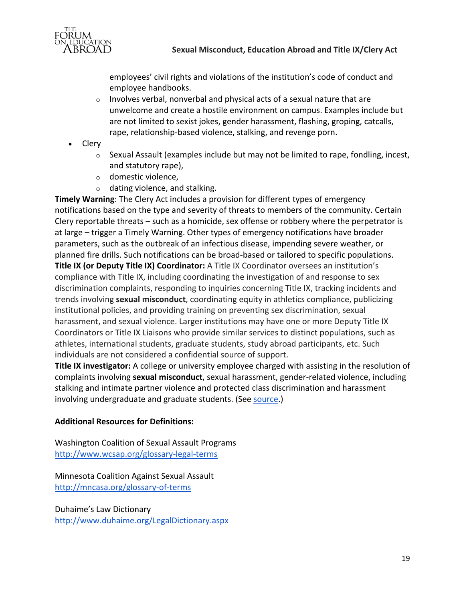

employees' civil rights and violations of the institution's code of conduct and employee handbooks.

- $\circ$  Involves verbal, nonverbal and physical acts of a sexual nature that are unwelcome and create a hostile environment on campus. Examples include but are not limited to sexist jokes, gender harassment, flashing, groping, catcalls, rape, relationship-based violence, stalking, and revenge porn.
- Clery
	- $\circ$  Sexual Assault (examples include but may not be limited to rape, fondling, incest, and statutory rape),
	- $\circ$  domestic violence,
	- $\circ$  dating violence, and stalking.

**Timely Warning:** The Clery Act includes a provision for different types of emergency notifications based on the type and severity of threats to members of the community. Certain Clery reportable threats  $-$  such as a homicide, sex offense or robbery where the perpetrator is at large – trigger a Timely Warning. Other types of emergency notifications have broader parameters, such as the outbreak of an infectious disease, impending severe weather, or planned fire drills. Such notifications can be broad-based or tailored to specific populations. **Title IX (or Deputy Title IX) Coordinator:** A Title IX Coordinator oversees an institution's compliance with Title IX, including coordinating the investigation of and response to sex discrimination complaints, responding to inquiries concerning Title IX, tracking incidents and trends involving **sexual misconduct**, coordinating equity in athletics compliance, publicizing institutional policies, and providing training on preventing sex discrimination, sexual harassment, and sexual violence. Larger institutions may have one or more Deputy Title IX Coordinators or Title IX Liaisons who provide similar services to distinct populations, such as athletes, international students, graduate students, study abroad participants, etc. Such individuals are not considered a confidential source of support.

**Title IX investigator:** A college or university employee charged with assisting in the resolution of complaints involving **sexual misconduct**, sexual harassment, gender-related violence, including stalking and intimate partner violence and protected class discrimination and harassment involving undergraduate and graduate students. (See source.)

## **Additional Resources for Definitions:**

Washington Coalition of Sexual Assault Programs http://www.wcsap.org/glossary-legal-terms

Minnesota Coalition Against Sexual Assault http://mncasa.org/glossary-of-terms

Duhaime's Law Dictionary http://www.duhaime.org/LegalDictionary.aspx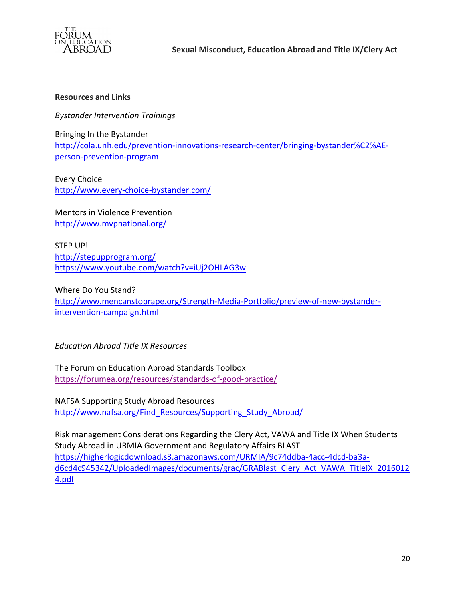

#### **Resources and Links**

*Bystander Intervention Trainings*

Bringing In the Bystander http://cola.unh.edu/prevention-innovations-research-center/bringing-bystander%C2%AEperson-prevention-program

Every Choice http://www.every-choice-bystander.com/

Mentors in Violence Prevention http://www.mvpnational.org/

STEP UP! http://stepupprogram.org/ https://www.youtube.com/watch?v=iUj2OHLAG3w

Where Do You Stand? http://www.mencanstoprape.org/Strength-Media-Portfolio/preview-of-new-bystanderintervention-campaign.html

*Education Abroad Title IX Resources*

The Forum on Education Abroad Standards Toolbox https://forumea.org/resources/standards-of-good-practice/

NAFSA Supporting Study Abroad Resources http://www.nafsa.org/Find\_Resources/Supporting\_Study\_Abroad/

Risk management Considerations Regarding the Clery Act, VAWA and Title IX When Students Study Abroad in URMIA Government and Regulatory Affairs BLAST https://higherlogicdownload.s3.amazonaws.com/URMIA/9c74ddba-4acc-4dcd-ba3ad6cd4c945342/UploadedImages/documents/grac/GRABlast\_Clery\_Act\_VAWA\_TitleIX\_2016012 4.pdf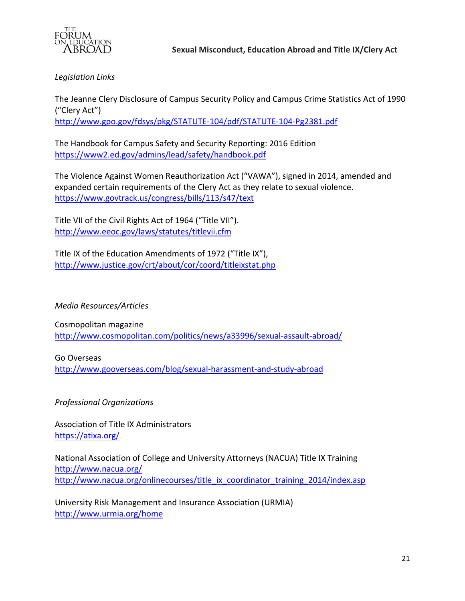

*Legislation Links*

The Jeanne Clery Disclosure of Campus Security Policy and Campus Crime Statistics Act of 1990 ("Clery Act") http://www.gpo.gov/fdsys/pkg/STATUTE-104/pdf/STATUTE-104-Pg2381.pdf

The Handbook for Campus Safety and Security Reporting: 2016 Edition https://www2.ed.gov/admins/lead/safety/handbook.pdf

The Violence Against Women Reauthorization Act ("VAWA"), signed in 2014, amended and expanded certain requirements of the Clery Act as they relate to sexual violence. https://www.govtrack.us/congress/bills/113/s47/text

Title VII of the Civil Rights Act of 1964 ("Title VII"). http://www.eeoc.gov/laws/statutes/titlevii.cfm

Title IX of the Education Amendments of 1972 ("Title IX"), http://www.justice.gov/crt/about/cor/coord/titleixstat.php

*Media Resources/Articles*

Cosmopolitan magazine http://www.cosmopolitan.com/politics/news/a33996/sexual-assault-abroad/

Go Overseas http://www.gooverseas.com/blog/sexual-harassment-and-study-abroad

*Professional Organizations*

Association of Title IX Administrators https://atixa.org/

National Association of College and University Attorneys (NACUA) Title IX Training http://www.nacua.org/ http://www.nacua.org/onlinecourses/title\_ix\_coordinator\_training\_2014/index.asp

University Risk Management and Insurance Association (URMIA) http://www.urmia.org/home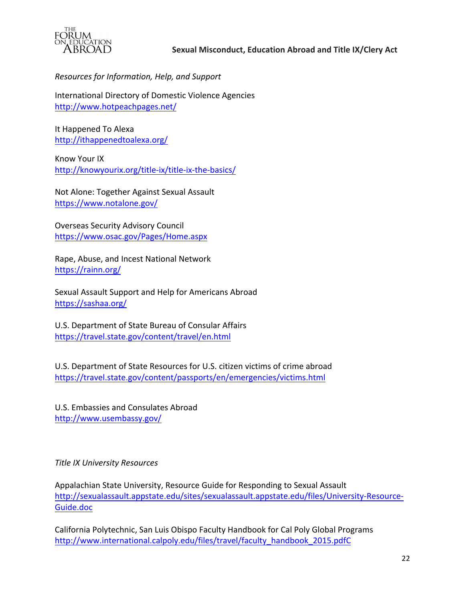

*Resources for Information, Help, and Support*

International Directory of Domestic Violence Agencies http://www.hotpeachpages.net/

It Happened To Alexa http://ithappenedtoalexa.org/

Know Your IX http://knowyourix.org/title-ix/title-ix-the-basics/

Not Alone: Together Against Sexual Assault https://www.notalone.gov/

Overseas Security Advisory Council https://www.osac.gov/Pages/Home.aspx

Rape, Abuse, and Incest National Network https://rainn.org/

Sexual Assault Support and Help for Americans Abroad https://sashaa.org/

U.S. Department of State Bureau of Consular Affairs https://travel.state.gov/content/travel/en.html

U.S. Department of State Resources for U.S. citizen victims of crime abroad https://travel.state.gov/content/passports/en/emergencies/victims.html

U.S. Embassies and Consulates Abroad http://www.usembassy.gov/

*Title IX University Resources*

Appalachian State University, Resource Guide for Responding to Sexual Assault http://sexualassault.appstate.edu/sites/sexualassault.appstate.edu/files/University-Resource-Guide.doc

California Polytechnic, San Luis Obispo Faculty Handbook for Cal Poly Global Programs http://www.international.calpoly.edu/files/travel/faculty\_handbook\_2015.pdfC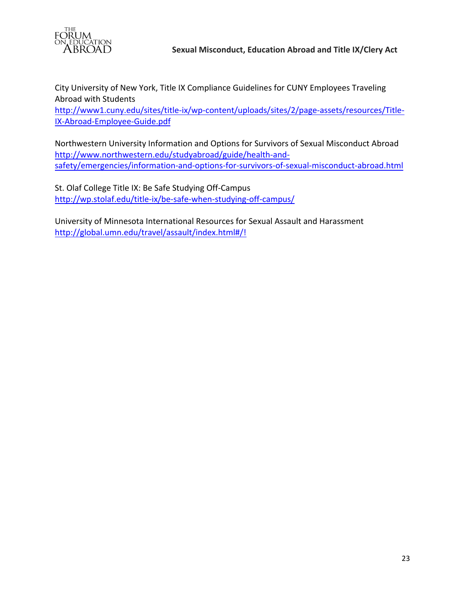

City University of New York, Title IX Compliance Guidelines for CUNY Employees Traveling Abroad with Students

http://www1.cuny.edu/sites/title-ix/wp-content/uploads/sites/2/page-assets/resources/Title-IX-Abroad-Employee-Guide.pdf

Northwestern University Information and Options for Survivors of Sexual Misconduct Abroad http://www.northwestern.edu/studyabroad/guide/health-andsafety/emergencies/information-and-options-for-survivors-of-sexual-misconduct-abroad.html

St. Olaf College Title IX: Be Safe Studying Off-Campus http://wp.stolaf.edu/title-ix/be-safe-when-studying-off-campus/

University of Minnesota International Resources for Sexual Assault and Harassment http://global.umn.edu/travel/assault/index.html#/!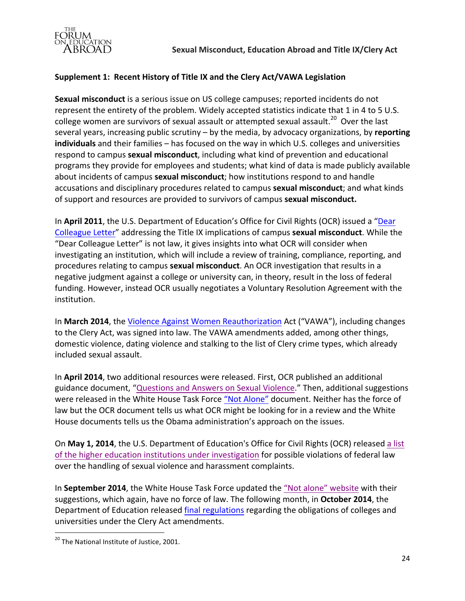

## **Supplement 1: Recent History of Title IX and the Clery Act/VAWA Legislation**

**Sexual misconduct** is a serious issue on US college campuses; reported incidents do not represent the entirety of the problem. Widely accepted statistics indicate that 1 in 4 to 5 U.S. college women are survivors of sexual assault or attempted sexual assault.<sup>20</sup> Over the last several years, increasing public scrutiny – by the media, by advocacy organizations, by reporting **individuals** and their families – has focused on the way in which U.S. colleges and universities respond to campus **sexual misconduct**, including what kind of prevention and educational programs they provide for employees and students; what kind of data is made publicly available about incidents of campus **sexual misconduct**; how institutions respond to and handle accusations and disciplinary procedures related to campus **sexual misconduct**; and what kinds of support and resources are provided to survivors of campus **sexual misconduct.** 

In April 2011, the U.S. Department of Education's Office for Civil Rights (OCR) issued a "Dear Colleague Letter" addressing the Title IX implications of campus **sexual misconduct**. While the "Dear Colleague Letter" is not law, it gives insights into what OCR will consider when investigating an institution, which will include a review of training, compliance, reporting, and procedures relating to campus **sexual misconduct**. An OCR investigation that results in a negative judgment against a college or university can, in theory, result in the loss of federal funding. However, instead OCR usually negotiates a Voluntary Resolution Agreement with the institution.

In **March 2014**, the Violence Against Women Reauthorization Act ("VAWA"), including changes to the Clery Act, was signed into law. The VAWA amendments added, among other things, domestic violence, dating violence and stalking to the list of Clery crime types, which already included sexual assault.

In April 2014, two additional resources were released. First, OCR published an additional guidance document, "Questions and Answers on Sexual Violence." Then, additional suggestions were released in the White House Task Force "Not Alone" document. Neither has the force of law but the OCR document tells us what OCR might be looking for in a review and the White House documents tells us the Obama administration's approach on the issues.

On May 1, 2014, the U.S. Department of Education's Office for Civil Rights (OCR) released a list of the higher education institutions under investigation for possible violations of federal law over the handling of sexual violence and harassment complaints.

In September 2014, the White House Task Force updated the "Not alone" website with their suggestions, which again, have no force of law. The following month, in **October 2014**, the Department of Education released final regulations regarding the obligations of colleges and universities under the Clery Act amendments.

<u> Andrew Maria (1989)</u>

 $^{20}$  The National Institute of Justice, 2001.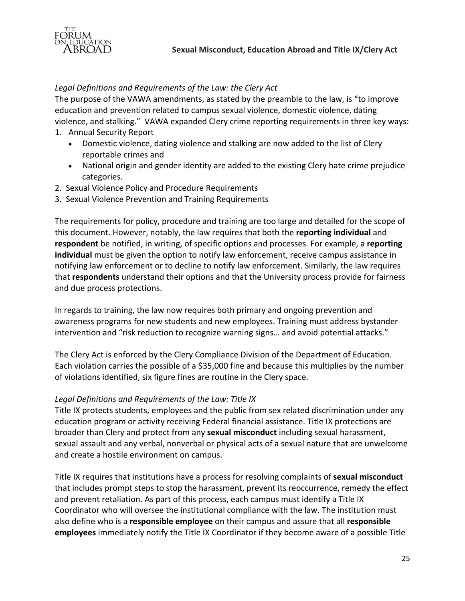

#### Legal Definitions and Requirements of the Law: the Clery Act

The purpose of the VAWA amendments, as stated by the preamble to the law, is "to improve education and prevention related to campus sexual violence, domestic violence, dating violence, and stalking." VAWA expanded Clery crime reporting requirements in three key ways:

- 1. Annual Security Report
	- Domestic violence, dating violence and stalking are now added to the list of Clery reportable crimes and
	- National origin and gender identity are added to the existing Clery hate crime prejudice categories.
- 2. Sexual Violence Policy and Procedure Requirements
- 3. Sexual Violence Prevention and Training Requirements

The requirements for policy, procedure and training are too large and detailed for the scope of this document. However, notably, the law requires that both the **reporting individual** and **respondent** be notified, in writing, of specific options and processes. For example, a reporting **individual** must be given the option to notify law enforcement, receive campus assistance in notifying law enforcement or to decline to notify law enforcement. Similarly, the law requires that **respondents** understand their options and that the University process provide for fairness and due process protections.

In regards to training, the law now requires both primary and ongoing prevention and awareness programs for new students and new employees. Training must address bystander intervention and "risk reduction to recognize warning signs... and avoid potential attacks."

The Clery Act is enforced by the Clery Compliance Division of the Department of Education. Each violation carries the possible of a \$35,000 fine and because this multiplies by the number of violations identified, six figure fines are routine in the Clery space.

#### *Legal Definitions and Requirements of the Law: Title IX*

Title IX protects students, employees and the public from sex related discrimination under any education program or activity receiving Federal financial assistance. Title IX protections are broader than Clery and protect from any **sexual misconduct** including sexual harassment, sexual assault and any verbal, nonverbal or physical acts of a sexual nature that are unwelcome and create a hostile environment on campus.

Title IX requires that institutions have a process for resolving complaints of **sexual misconduct** that includes prompt steps to stop the harassment, prevent its reoccurrence, remedy the effect and prevent retaliation. As part of this process, each campus must identify a Title IX Coordinator who will oversee the institutional compliance with the law. The institution must also define who is a responsible employee on their campus and assure that all responsible **employees** immediately notify the Title IX Coordinator if they become aware of a possible Title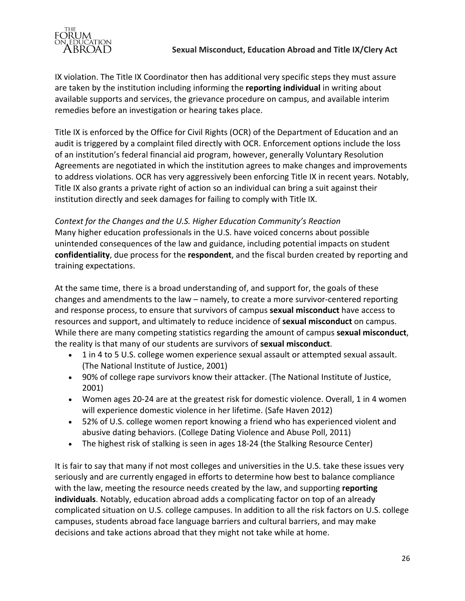

training expectations.

IX violation. The Title IX Coordinator then has additional very specific steps they must assure are taken by the institution including informing the **reporting individual** in writing about available supports and services, the grievance procedure on campus, and available interim remedies before an investigation or hearing takes place.

Title IX is enforced by the Office for Civil Rights (OCR) of the Department of Education and an audit is triggered by a complaint filed directly with OCR. Enforcement options include the loss of an institution's federal financial aid program, however, generally Voluntary Resolution Agreements are negotiated in which the institution agrees to make changes and improvements to address violations. OCR has very aggressively been enforcing Title IX in recent years. Notably, Title IX also grants a private right of action so an individual can bring a suit against their institution directly and seek damages for failing to comply with Title IX.

# Context for the Changes and the U.S. Higher Education Community's Reaction Many higher education professionals in the U.S. have voiced concerns about possible unintended consequences of the law and guidance, including potential impacts on student **confidentiality**, due process for the **respondent**, and the fiscal burden created by reporting and

At the same time, there is a broad understanding of, and support for, the goals of these changes and amendments to the law – namely, to create a more survivor-centered reporting and response process, to ensure that survivors of campus **sexual misconduct** have access to resources and support, and ultimately to reduce incidence of **sexual misconduct** on campus. While there are many competing statistics regarding the amount of campus **sexual misconduct**, the reality is that many of our students are survivors of **sexual misconduct**.

- 1 in 4 to 5 U.S. college women experience sexual assault or attempted sexual assault. (The National Institute of Justice, 2001)
- 90% of college rape survivors know their attacker. (The National Institute of Justice, 2001)
- Women ages 20-24 are at the greatest risk for domestic violence. Overall, 1 in 4 women will experience domestic violence in her lifetime. (Safe Haven 2012)
- 52% of U.S. college women report knowing a friend who has experienced violent and abusive dating behaviors. (College Dating Violence and Abuse Poll, 2011)
- The highest risk of stalking is seen in ages 18-24 (the Stalking Resource Center)

It is fair to say that many if not most colleges and universities in the U.S. take these issues very seriously and are currently engaged in efforts to determine how best to balance compliance with the law, meeting the resource needs created by the law, and supporting reporting **individuals**. Notably, education abroad adds a complicating factor on top of an already complicated situation on U.S. college campuses. In addition to all the risk factors on U.S. college campuses, students abroad face language barriers and cultural barriers, and may make decisions and take actions abroad that they might not take while at home.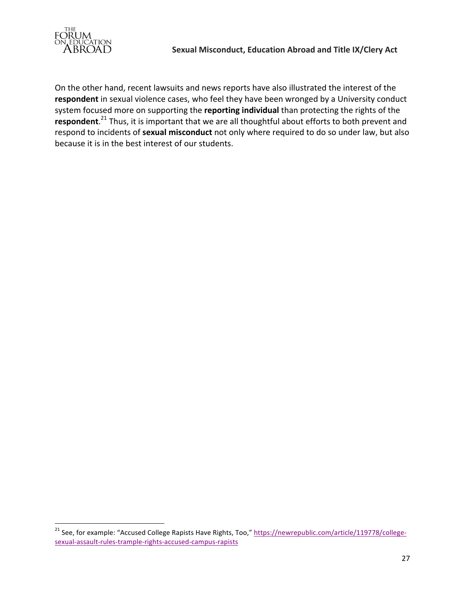

<u> Andrew Maria (1989)</u>

On the other hand, recent lawsuits and news reports have also illustrated the interest of the respondent in sexual violence cases, who feel they have been wronged by a University conduct system focused more on supporting the **reporting individual** than protecting the rights of the respondent.<sup>21</sup> Thus, it is important that we are all thoughtful about efforts to both prevent and respond to incidents of **sexual misconduct** not only where required to do so under law, but also because it is in the best interest of our students.

 $^{21}$  See, for example: "Accused College Rapists Have Rights, Too," https://newrepublic.com/article/119778/collegesexual-assault-rules-trample-rights-accused-campus-rapists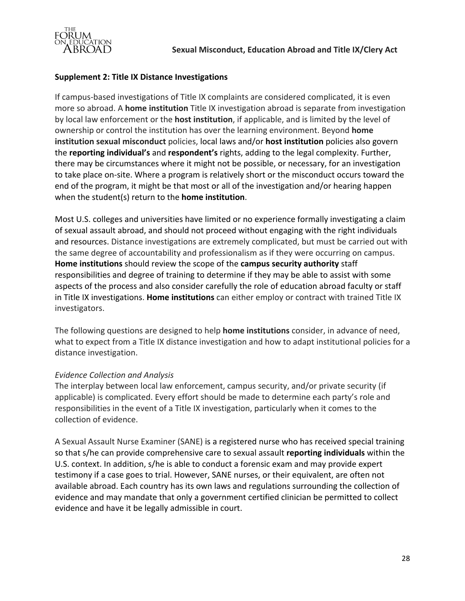

## **Supplement 2: Title IX Distance Investigations**

If campus-based investigations of Title IX complaints are considered complicated, it is even more so abroad. A **home institution** Title IX investigation abroad is separate from investigation by local law enforcement or the **host institution**, if applicable, and is limited by the level of ownership or control the institution has over the learning environment. Beyond **home** institution sexual misconduct policies, local laws and/or host institution policies also govern the **reporting individual's** and **respondent's** rights, adding to the legal complexity. Further, there may be circumstances where it might not be possible, or necessary, for an investigation to take place on-site. Where a program is relatively short or the misconduct occurs toward the end of the program, it might be that most or all of the investigation and/or hearing happen when the student(s) return to the **home institution**.

Most U.S. colleges and universities have limited or no experience formally investigating a claim of sexual assault abroad, and should not proceed without engaging with the right individuals and resources. Distance investigations are extremely complicated, but must be carried out with the same degree of accountability and professionalism as if they were occurring on campus. **Home institutions** should review the scope of the **campus security authority** staff responsibilities and degree of training to determine if they may be able to assist with some aspects of the process and also consider carefully the role of education abroad faculty or staff in Title IX investigations. **Home institutions** can either employ or contract with trained Title IX investigators.

The following questions are designed to help **home institutions** consider, in advance of need, what to expect from a Title IX distance investigation and how to adapt institutional policies for a distance investigation.

## *Evidence Collection and Analysis*

The interplay between local law enforcement, campus security, and/or private security (if applicable) is complicated. Every effort should be made to determine each party's role and responsibilities in the event of a Title IX investigation, particularly when it comes to the collection of evidence.

A Sexual Assault Nurse Examiner (SANE) is a registered nurse who has received special training so that s/he can provide comprehensive care to sexual assault **reporting individuals** within the U.S. context. In addition, s/he is able to conduct a forensic exam and may provide expert testimony if a case goes to trial. However, SANE nurses, or their equivalent, are often not available abroad. Each country has its own laws and regulations surrounding the collection of evidence and may mandate that only a government certified clinician be permitted to collect evidence and have it be legally admissible in court.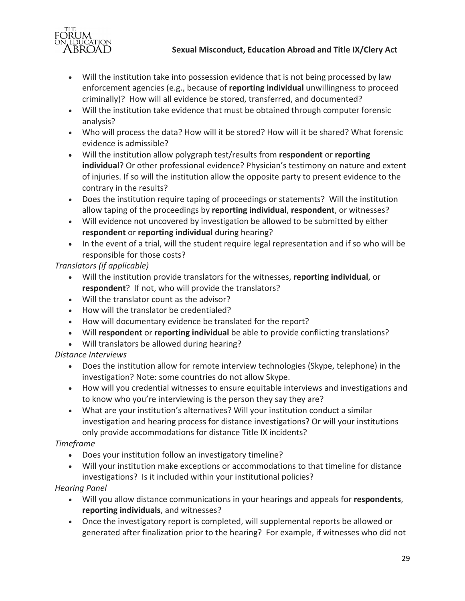

# **Sexual Misconduct, Education Abroad and Title IX/Clery Act**

- Will the institution take into possession evidence that is not being processed by law enforcement agencies (e.g., because of **reporting individual** unwillingness to proceed criminally)? How will all evidence be stored, transferred, and documented?
- Will the institution take evidence that must be obtained through computer forensic analysis?
- Who will process the data? How will it be stored? How will it be shared? What forensic evidence is admissible?
- Will the institution allow polygraph test/results from **respondent** or **reporting individual**? Or other professional evidence? Physician's testimony on nature and extent of injuries. If so will the institution allow the opposite party to present evidence to the contrary in the results?
- Does the institution require taping of proceedings or statements? Will the institution allow taping of the proceedings by reporting individual, respondent, or witnesses?
- Will evidence not uncovered by investigation be allowed to be submitted by either **respondent** or **reporting individual** during hearing?
- In the event of a trial, will the student require legal representation and if so who will be responsible for those costs?

*Translators (if applicable)*

- Will the institution provide translators for the witnesses, reporting individual, or respondent? If not, who will provide the translators?
- Will the translator count as the advisor?
- How will the translator be credentialed?
- How will documentary evidence be translated for the report?
- Will **respondent** or **reporting individual** be able to provide conflicting translations?
- Will translators be allowed during hearing?

*Distance Interviews*

- Does the institution allow for remote interview technologies (Skype, telephone) in the investigation? Note: some countries do not allow Skype.
- How will you credential witnesses to ensure equitable interviews and investigations and to know who you're interviewing is the person they say they are?
- What are your institution's alternatives? Will your institution conduct a similar investigation and hearing process for distance investigations? Or will your institutions only provide accommodations for distance Title IX incidents?

# *Timeframe*

- Does your institution follow an investigatory timeline?
- Will your institution make exceptions or accommodations to that timeline for distance investigations? Is it included within your institutional policies?

## *Hearing Panel*

- Will you allow distance communications in your hearings and appeals for respondents, **reporting individuals**, and witnesses?
- Once the investigatory report is completed, will supplemental reports be allowed or generated after finalization prior to the hearing? For example, if witnesses who did not